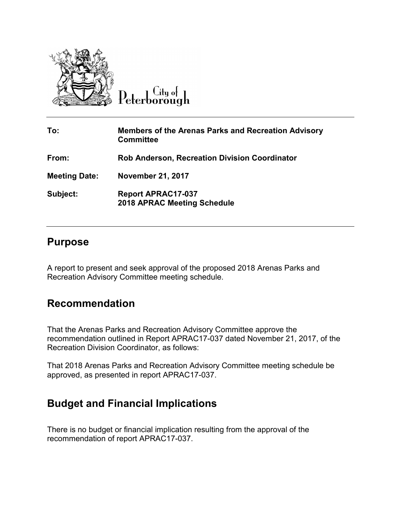

 $C$ ity of Peterborough

| To:                  | <b>Members of the Arenas Parks and Recreation Advisory</b><br><b>Committee</b> |
|----------------------|--------------------------------------------------------------------------------|
| From:                | <b>Rob Anderson, Recreation Division Coordinator</b>                           |
| <b>Meeting Date:</b> | <b>November 21, 2017</b>                                                       |
| Subject:             | <b>Report APRAC17-037</b><br><b>2018 APRAC Meeting Schedule</b>                |

## **Purpose**

A report to present and seek approval of the proposed 2018 Arenas Parks and Recreation Advisory Committee meeting schedule.

## **Recommendation**

That the Arenas Parks and Recreation Advisory Committee approve the recommendation outlined in Report APRAC17-037 dated November 21, 2017, of the Recreation Division Coordinator, as follows:

That 2018 Arenas Parks and Recreation Advisory Committee meeting schedule be approved, as presented in report APRAC17-037.

## **Budget and Financial Implications**

There is no budget or financial implication resulting from the approval of the recommendation of report APRAC17-037.